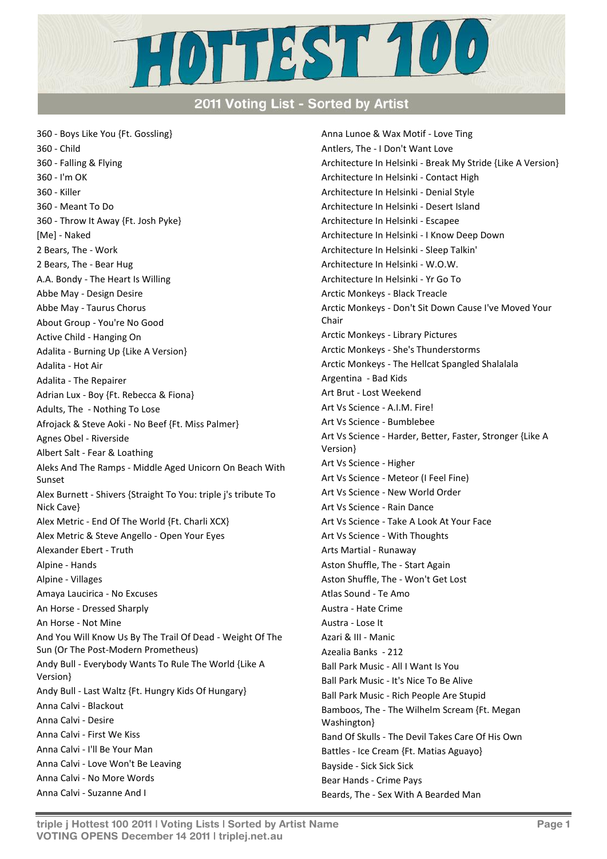

## 2011 Voting List - Sorted by Artist

360 - Boys Like You {Ft. Gossling} 360 - Child 360 - Falling & Flying 360 - I'm OK 360 - Killer 360 - Meant To Do 360 - Throw It Away {Ft. Josh Pyke} [Me] - Naked 2 Bears, The - Work 2 Bears, The - Bear Hug A.A. Bondy - The Heart Is Willing Abbe May - Design Desire Abbe May - Taurus Chorus About Group - You're No Good Active Child - Hanging On Adalita - Burning Up {Like A Version} Adalita - Hot Air Adalita - The Repairer Adrian Lux - Boy {Ft. Rebecca & Fiona} Adults, The - Nothing To Lose Afrojack & Steve Aoki - No Beef {Ft. Miss Palmer} Agnes Obel - Riverside Albert Salt - Fear & Loathing Aleks And The Ramps - Middle Aged Unicorn On Beach With Sunset Alex Burnett - Shivers {Straight To You: triple j's tribute To Nick Cave} Alex Metric - End Of The World {Ft. Charli XCX} Alex Metric & Steve Angello - Open Your Eyes Alexander Ebert - Truth Alpine - Hands Alpine - Villages Amaya Laucirica - No Excuses An Horse - Dressed Sharply An Horse - Not Mine And You Will Know Us By The Trail Of Dead - Weight Of The Sun (Or The Post-Modern Prometheus) Andy Bull - Everybody Wants To Rule The World {Like A Version} Andy Bull - Last Waltz {Ft. Hungry Kids Of Hungary} Anna Calvi - Blackout Anna Calvi - Desire Anna Calvi - First We Kiss Anna Calvi - I'll Be Your Man Anna Calvi - Love Won't Be Leaving Anna Calvi - No More Words Anna Calvi - Suzanne And I

Anna Lunoe & Wax Motif - Love Ting Antlers, The - I Don't Want Love Architecture In Helsinki - Break My Stride {Like A Version} Architecture In Helsinki - Contact High Architecture In Helsinki - Denial Style Architecture In Helsinki - Desert Island Architecture In Helsinki - Escapee Architecture In Helsinki - I Know Deep Down Architecture In Helsinki - Sleep Talkin' Architecture In Helsinki - W.O.W. Architecture In Helsinki - Yr Go To Arctic Monkeys - Black Treacle Arctic Monkeys - Don't Sit Down Cause I've Moved Your Chair Arctic Monkeys - Library Pictures Arctic Monkeys - She's Thunderstorms Arctic Monkeys - The Hellcat Spangled Shalalala Argentina - Bad Kids Art Brut - Lost Weekend Art Vs Science - A.I.M. Fire! Art Vs Science - Bumblebee Art Vs Science - Harder, Better, Faster, Stronger {Like A Version} Art Vs Science - Higher Art Vs Science - Meteor (I Feel Fine) Art Vs Science - New World Order Art Vs Science - Rain Dance Art Vs Science - Take A Look At Your Face Art Vs Science - With Thoughts Arts Martial - Runaway Aston Shuffle, The - Start Again Aston Shuffle, The - Won't Get Lost Atlas Sound - Te Amo Austra - Hate Crime Austra - Lose It Azari & III - Manic Azealia Banks - 212 Ball Park Music - All I Want Is You Ball Park Music - It's Nice To Be Alive Ball Park Music - Rich People Are Stupid Bamboos, The - The Wilhelm Scream {Ft. Megan Washington} Band Of Skulls - The Devil Takes Care Of His Own Battles - Ice Cream {Ft. Matias Aguayo} Bayside - Sick Sick Sick Bear Hands - Crime Pays Beards, The - Sex With A Bearded Man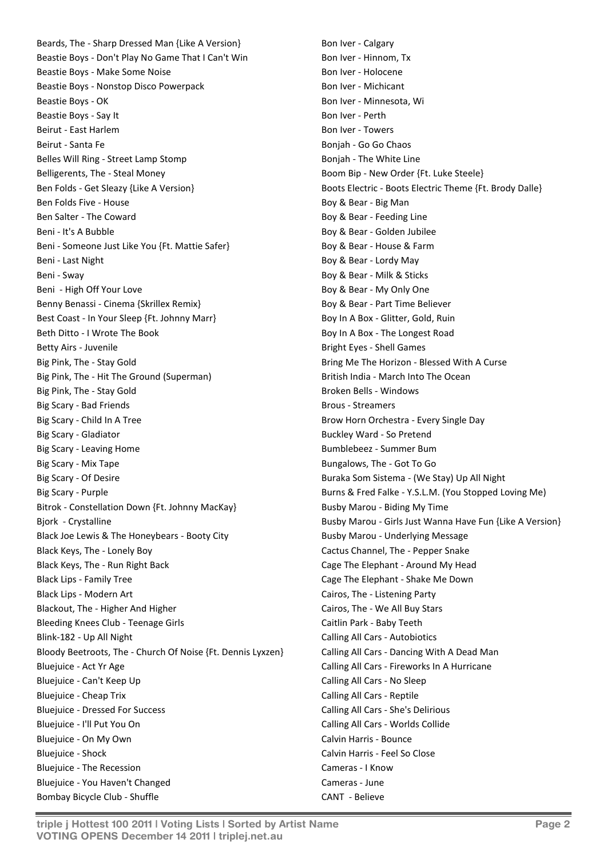Beards, The - Sharp Dressed Man {Like A Version} Beastie Boys - Don't Play No Game That I Can't Win Beastie Boys - Make Some Noise Beastie Boys - Nonstop Disco Powerpack Beastie Boys - OK Beastie Boys - Say It Beirut - East Harlem Beirut - Santa Fe Belles Will Ring - Street Lamp Stomp Belligerents, The - Steal Money Ben Folds - Get Sleazy {Like A Version} Ben Folds Five - House Ben Salter - The Coward Beni - It's A Bubble Beni - Someone Just Like You {Ft. Mattie Safer} Beni - Last Night Beni - Sway Beni - High Off Your Love Benny Benassi - Cinema {Skrillex Remix} Best Coast - In Your Sleep {Ft. Johnny Marr} Beth Ditto - I Wrote The Book Betty Airs - Juvenile Big Pink, The - Stay Gold Big Pink, The - Hit The Ground (Superman) Big Pink, The - Stay Gold Big Scary - Bad Friends Big Scary - Child In A Tree Big Scary - Gladiator Big Scary - Leaving Home Big Scary - Mix Tape Big Scary - Of Desire Big Scary - Purple Bitrok - Constellation Down {Ft. Johnny MacKay} Bjork - Crystalline Black Joe Lewis & The Honeybears - Booty City Black Keys, The - Lonely Boy Black Keys, The - Run Right Back Black Lips - Family Tree Black Lips - Modern Art Blackout, The - Higher And Higher Bleeding Knees Club - Teenage Girls Blink-182 - Up All Night Bloody Beetroots, The - Church Of Noise {Ft. Dennis Lyxzen} Bluejuice - Act Yr Age Bluejuice - Can't Keep Up Bluejuice - Cheap Trix Bluejuice - Dressed For Success Bluejuice - I'll Put You On Bluejuice - On My Own Bluejuice - Shock Bluejuice - The Recession Bluejuice - You Haven't Changed Bombay Bicycle Club - Shuffle

Bon Iver - Calgary Bon Iver - Hinnom, Tx Bon Iver - Holocene Bon Iver - Michicant Bon Iver - Minnesota, Wi Bon Iver - Perth Bon Iver - Towers Bonjah - Go Go Chaos Bonjah - The White Line Boom Bip - New Order {Ft. Luke Steele} Boots Electric - Boots Electric Theme {Ft. Brody Dalle} Boy & Bear - Big Man Boy & Bear - Feeding Line Boy & Bear - Golden Jubilee Boy & Bear - House & Farm Boy & Bear - Lordy May Boy & Bear - Milk & Sticks Boy & Bear - My Only One Boy & Bear - Part Time Believer Boy In A Box - Glitter, Gold, Ruin Boy In A Box - The Longest Road Bright Eyes - Shell Games Bring Me The Horizon - Blessed With A Curse British India - March Into The Ocean Broken Bells - Windows Brous - Streamers Brow Horn Orchestra - Every Single Day Buckley Ward - So Pretend Bumblebeez - Summer Bum Bungalows, The - Got To Go Buraka Som Sistema - (We Stay) Up All Night Burns & Fred Falke - Y.S.L.M. (You Stopped Loving Me) Busby Marou - Biding My Time Busby Marou - Girls Just Wanna Have Fun {Like A Version} Busby Marou - Underlying Message Cactus Channel, The - Pepper Snake Cage The Elephant - Around My Head Cage The Elephant - Shake Me Down Cairos, The - Listening Party Cairos, The - We All Buy Stars Caitlin Park - Baby Teeth Calling All Cars - Autobiotics Calling All Cars - Dancing With A Dead Man Calling All Cars - Fireworks In A Hurricane Calling All Cars - No Sleep Calling All Cars - Reptile Calling All Cars - She's Delirious Calling All Cars - Worlds Collide Calvin Harris - Bounce Calvin Harris - Feel So Close Cameras - I Know Cameras - June CANT - Believe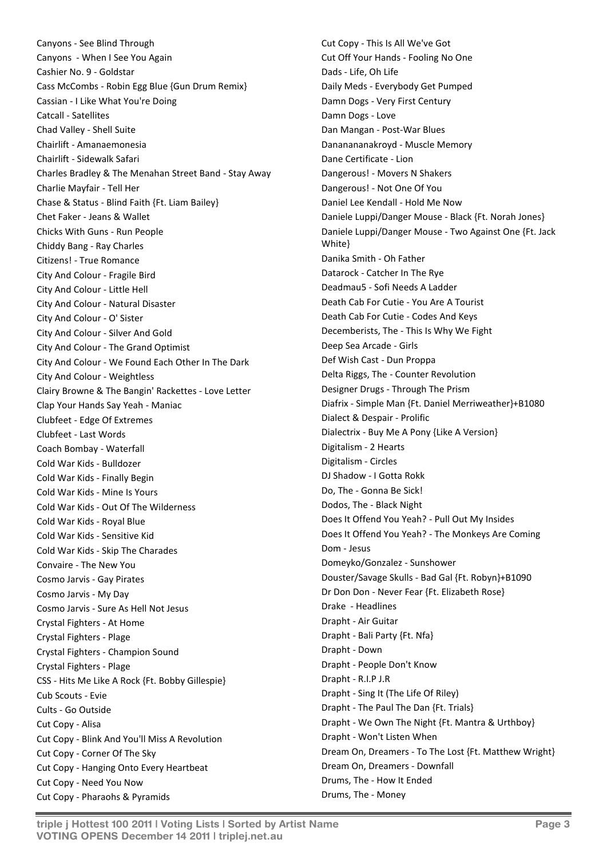Canyons - See Blind Through Canyons - When I See You Again Cashier No. 9 - Goldstar Cass McCombs - Robin Egg Blue {Gun Drum Remix} Cassian - I Like What You're Doing Catcall - Satellites Chad Valley - Shell Suite Chairlift - Amanaemonesia Chairlift - Sidewalk Safari Charles Bradley & The Menahan Street Band - Stay Away Charlie Mayfair - Tell Her Chase & Status - Blind Faith {Ft. Liam Bailey} Chet Faker - Jeans & Wallet Chicks With Guns - Run People Chiddy Bang - Ray Charles Citizens! - True Romance City And Colour - Fragile Bird City And Colour - Little Hell City And Colour - Natural Disaster City And Colour - O' Sister City And Colour - Silver And Gold City And Colour - The Grand Optimist City And Colour - We Found Each Other In The Dark City And Colour - Weightless Clairy Browne & The Bangin' Rackettes - Love Letter Clap Your Hands Say Yeah - Maniac Clubfeet - Edge Of Extremes Clubfeet - Last Words Coach Bombay - Waterfall Cold War Kids - Bulldozer Cold War Kids - Finally Begin Cold War Kids - Mine Is Yours Cold War Kids - Out Of The Wilderness Cold War Kids - Royal Blue Cold War Kids - Sensitive Kid Cold War Kids - Skip The Charades Convaire - The New You Cosmo Jarvis - Gay Pirates Cosmo Jarvis - My Day Cosmo Jarvis - Sure As Hell Not Jesus Crystal Fighters - At Home Crystal Fighters - Plage Crystal Fighters - Champion Sound Crystal Fighters - Plage CSS - Hits Me Like A Rock {Ft. Bobby Gillespie} Cub Scouts - Evie Cults - Go Outside Cut Copy - Alisa Cut Copy - Blink And You'll Miss A Revolution Cut Copy - Corner Of The Sky Cut Copy - Hanging Onto Every Heartbeat Cut Copy - Need You Now Cut Copy - Pharaohs & Pyramids

Cut Copy - This Is All We've Got Cut Off Your Hands - Fooling No One Dads - Life, Oh Life Daily Meds - Everybody Get Pumped Damn Dogs - Very First Century Damn Dogs - Love Dan Mangan - Post-War Blues Dananananakroyd - Muscle Memory Dane Certificate - Lion Dangerous! - Movers N Shakers Dangerous! - Not One Of You Daniel Lee Kendall - Hold Me Now Daniele Luppi/Danger Mouse - Black {Ft. Norah Jones} Daniele Luppi/Danger Mouse - Two Against One {Ft. Jack White} Danika Smith - Oh Father Datarock - Catcher In The Rye Deadmau5 - Sofi Needs A Ladder Death Cab For Cutie - You Are A Tourist Death Cab For Cutie - Codes And Keys Decemberists, The - This Is Why We Fight Deep Sea Arcade - Girls Def Wish Cast - Dun Proppa Delta Riggs, The - Counter Revolution Designer Drugs - Through The Prism Diafrix - Simple Man {Ft. Daniel Merriweather}+B1080 Dialect & Despair - Prolific Dialectrix - Buy Me A Pony {Like A Version} Digitalism - 2 Hearts Digitalism - Circles DJ Shadow - I Gotta Rokk Do, The - Gonna Be Sick! Dodos, The - Black Night Does It Offend You Yeah? - Pull Out My Insides Does It Offend You Yeah? - The Monkeys Are Coming Dom - Jesus Domeyko/Gonzalez - Sunshower Douster/Savage Skulls - Bad Gal {Ft. Robyn}+B1090 Dr Don Don - Never Fear {Ft. Elizabeth Rose} Drake - Headlines Drapht - Air Guitar Drapht - Bali Party {Ft. Nfa} Drapht - Down Drapht - People Don't Know Drapht - R.I.P J.R Drapht - Sing It (The Life Of Riley) Drapht - The Paul The Dan {Ft. Trials} Drapht - We Own The Night {Ft. Mantra & Urthboy} Drapht - Won't Listen When Dream On, Dreamers - To The Lost {Ft. Matthew Wright} Dream On, Dreamers - Downfall Drums, The - How It Ended Drums, The - Money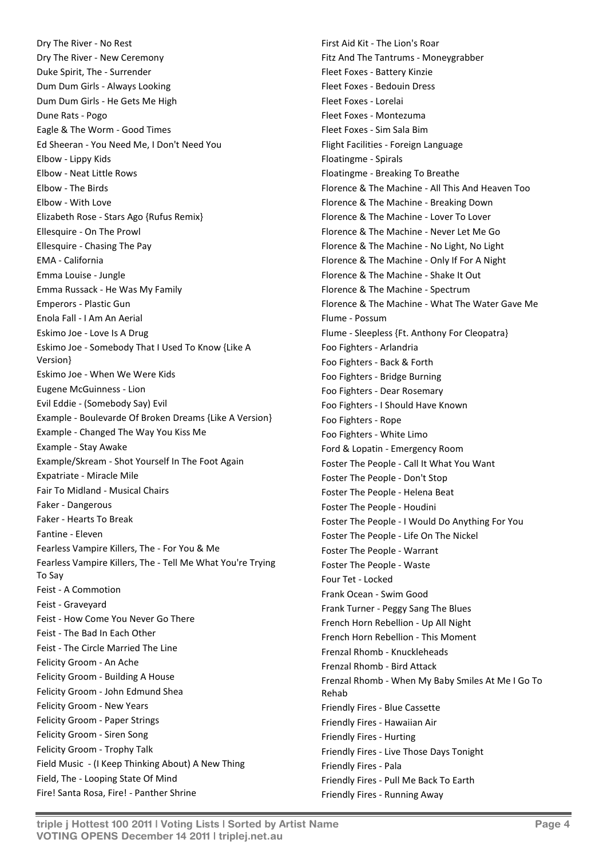Dry The River - No Rest Dry The River - New Ceremony Duke Spirit, The - Surrender Dum Dum Girls - Always Looking Dum Dum Girls - He Gets Me High Dune Rats - Pogo Eagle & The Worm - Good Times Ed Sheeran - You Need Me, I Don't Need You Elbow - Lippy Kids Elbow - Neat Little Rows Elbow - The Birds Elbow - With Love Elizabeth Rose - Stars Ago {Rufus Remix} Ellesquire - On The Prowl Ellesquire - Chasing The Pay EMA - California Emma Louise - Jungle Emma Russack - He Was My Family Emperors - Plastic Gun Enola Fall - I Am An Aerial Eskimo Joe - Love Is A Drug Eskimo Joe - Somebody That I Used To Know {Like A Version} Eskimo Joe - When We Were Kids Eugene McGuinness - Lion Evil Eddie - (Somebody Say) Evil Example - Boulevarde Of Broken Dreams {Like A Version} Example - Changed The Way You Kiss Me Example - Stay Awake Example/Skream - Shot Yourself In The Foot Again Expatriate - Miracle Mile Fair To Midland - Musical Chairs Faker - Dangerous Faker - Hearts To Break Fantine - Eleven Fearless Vampire Killers, The - For You & Me Fearless Vampire Killers, The - Tell Me What You're Trying To Say Feist - A Commotion Feist - Graveyard Feist - How Come You Never Go There Feist - The Bad In Each Other Feist - The Circle Married The Line Felicity Groom - An Ache Felicity Groom - Building A House Felicity Groom - John Edmund Shea Felicity Groom - New Years Felicity Groom - Paper Strings Felicity Groom - Siren Song Felicity Groom - Trophy Talk Field Music - (I Keep Thinking About) A New Thing Field, The - Looping State Of Mind Fire! Santa Rosa, Fire! - Panther Shrine

First Aid Kit - The Lion's Roar Fitz And The Tantrums - Moneygrabber Fleet Foxes - Battery Kinzie Fleet Foxes - Bedouin Dress Fleet Foxes - Lorelai Fleet Foxes - Montezuma Fleet Foxes - Sim Sala Bim Flight Facilities - Foreign Language Floatingme - Spirals Floatingme - Breaking To Breathe Florence & The Machine - All This And Heaven Too Florence & The Machine - Breaking Down Florence & The Machine - Lover To Lover Florence & The Machine - Never Let Me Go Florence & The Machine - No Light, No Light Florence & The Machine - Only If For A Night Florence & The Machine - Shake It Out Florence & The Machine - Spectrum Florence & The Machine - What The Water Gave Me Flume - Possum Flume - Sleepless {Ft. Anthony For Cleopatra} Foo Fighters - Arlandria Foo Fighters - Back & Forth Foo Fighters - Bridge Burning Foo Fighters - Dear Rosemary Foo Fighters - I Should Have Known Foo Fighters - Rope Foo Fighters - White Limo Ford & Lopatin - Emergency Room Foster The People - Call It What You Want Foster The People - Don't Stop Foster The People - Helena Beat Foster The People - Houdini Foster The People - I Would Do Anything For You Foster The People - Life On The Nickel Foster The People - Warrant Foster The People - Waste Four Tet - Locked Frank Ocean - Swim Good Frank Turner - Peggy Sang The Blues French Horn Rebellion - Up All Night French Horn Rebellion - This Moment Frenzal Rhomb - Knuckleheads Frenzal Rhomb - Bird Attack Frenzal Rhomb - When My Baby Smiles At Me I Go To Rehab Friendly Fires - Blue Cassette Friendly Fires - Hawaiian Air Friendly Fires - Hurting Friendly Fires - Live Those Days Tonight Friendly Fires - Pala Friendly Fires - Pull Me Back To Earth Friendly Fires - Running Away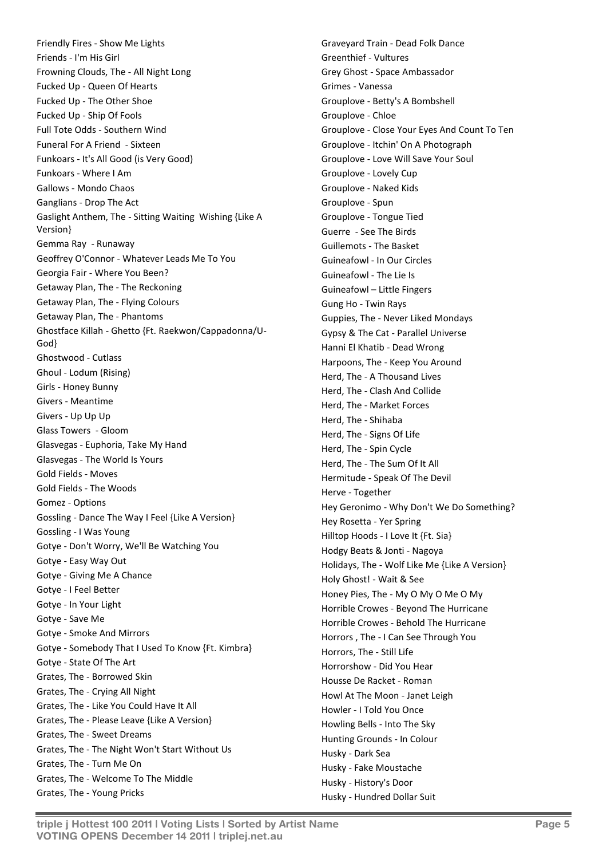Friendly Fires - Show Me Lights Friends - I'm His Girl Frowning Clouds, The - All Night Long Fucked Up - Queen Of Hearts Fucked Up - The Other Shoe Fucked Up - Ship Of Fools Full Tote Odds - Southern Wind Funeral For A Friend - Sixteen Funkoars - It's All Good (is Very Good) Funkoars - Where I Am Gallows - Mondo Chaos Ganglians - Drop The Act Gaslight Anthem, The - Sitting Waiting Wishing {Like A Version} Gemma Ray - Runaway Geoffrey O'Connor - Whatever Leads Me To You Georgia Fair - Where You Been? Getaway Plan, The - The Reckoning Getaway Plan, The - Flying Colours Getaway Plan, The - Phantoms Ghostface Killah - Ghetto {Ft. Raekwon/Cappadonna/U-God} Ghostwood - Cutlass Ghoul - Lodum (Rising) Girls - Honey Bunny Givers - Meantime Givers - Up Up Up Glass Towers - Gloom Glasvegas - Euphoria, Take My Hand Glasvegas - The World Is Yours Gold Fields - Moves Gold Fields - The Woods Gomez - Options Gossling - Dance The Way I Feel {Like A Version} Gossling - I Was Young Gotye - Don't Worry, We'll Be Watching You Gotye - Easy Way Out Gotye - Giving Me A Chance Gotye - I Feel Better Gotye - In Your Light Gotye - Save Me Gotye - Smoke And Mirrors Gotye - Somebody That I Used To Know {Ft. Kimbra} Gotye - State Of The Art Grates, The - Borrowed Skin Grates, The - Crying All Night Grates, The - Like You Could Have It All Grates, The - Please Leave {Like A Version} Grates, The - Sweet Dreams Grates, The - The Night Won't Start Without Us Grates, The - Turn Me On Grates, The - Welcome To The Middle Grates, The - Young Pricks

Graveyard Train - Dead Folk Dance Greenthief - Vultures Grey Ghost - Space Ambassador Grimes - Vanessa Grouplove - Betty's A Bombshell Grouplove - Chloe Grouplove - Close Your Eyes And Count To Ten Grouplove - Itchin' On A Photograph Grouplove - Love Will Save Your Soul Grouplove - Lovely Cup Grouplove - Naked Kids Grouplove - Spun Grouplove - Tongue Tied Guerre - See The Birds Guillemots - The Basket Guineafowl - In Our Circles Guineafowl - The Lie Is Guineafowl – Little Fingers Gung Ho - Twin Rays Guppies, The - Never Liked Mondays Gypsy & The Cat - Parallel Universe Hanni El Khatib - Dead Wrong Harpoons, The - Keep You Around Herd, The - A Thousand Lives Herd, The - Clash And Collide Herd, The - Market Forces Herd, The - Shihaba Herd, The - Signs Of Life Herd, The - Spin Cycle Herd, The - The Sum Of It All Hermitude - Speak Of The Devil Herve - Together Hey Geronimo - Why Don't We Do Something? Hey Rosetta - Yer Spring Hilltop Hoods - I Love It {Ft. Sia} Hodgy Beats & Jonti - Nagoya Holidays, The - Wolf Like Me {Like A Version} Holy Ghost! - Wait & See Honey Pies, The - My O My O Me O My Horrible Crowes - Beyond The Hurricane Horrible Crowes - Behold The Hurricane Horrors , The - I Can See Through You Horrors, The - Still Life Horrorshow - Did You Hear Housse De Racket - Roman Howl At The Moon - Janet Leigh Howler - I Told You Once Howling Bells - Into The Sky Hunting Grounds - In Colour Husky - Dark Sea Husky - Fake Moustache Husky - History's Door

Husky - Hundred Dollar Suit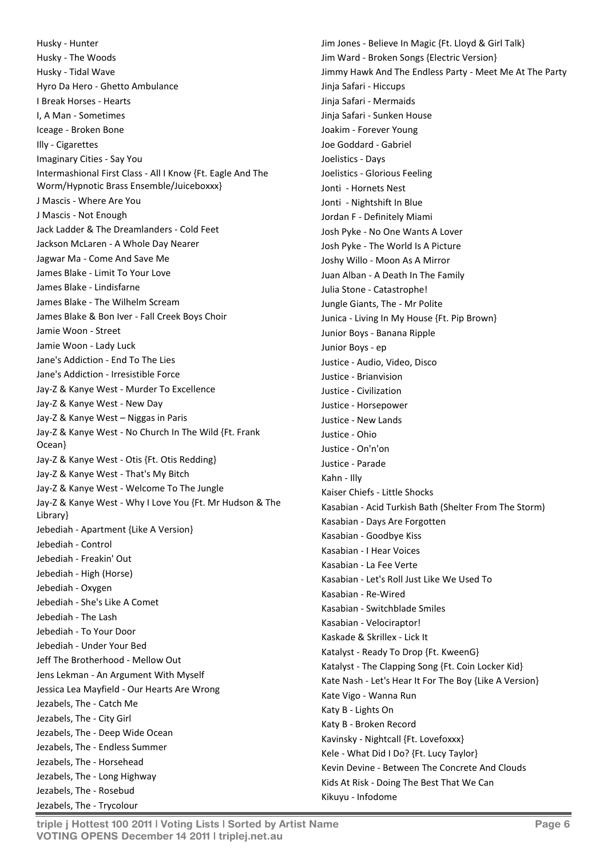Husky - Hunter Husky - The Woods Husky - Tidal Wave Hyro Da Hero - Ghetto Ambulance I Break Horses - Hearts I, A Man - Sometimes Iceage - Broken Bone Illy - Cigarettes Imaginary Cities - Say You Intermashional First Class - All I Know {Ft. Eagle And The Worm/Hypnotic Brass Ensemble/Juiceboxxx} J Mascis - Where Are You J Mascis - Not Enough Jack Ladder & The Dreamlanders - Cold Feet Jackson McLaren - A Whole Day Nearer Jagwar Ma - Come And Save Me James Blake - Limit To Your Love James Blake - Lindisfarne James Blake - The Wilhelm Scream James Blake & Bon Iver - Fall Creek Boys Choir Jamie Woon - Street Jamie Woon - Lady Luck Jane's Addiction - End To The Lies Jane's Addiction - Irresistible Force Jay-Z & Kanye West - Murder To Excellence Jay-Z & Kanye West - New Day Jay-Z & Kanye West – Niggas in Paris Jay-Z & Kanye West - No Church In The Wild {Ft. Frank Ocean} Jay-Z & Kanye West - Otis {Ft. Otis Redding} Jay-Z & Kanye West - That's My Bitch Jay-Z & Kanye West - Welcome To The Jungle Jay-Z & Kanye West - Why I Love You {Ft. Mr Hudson & The Library} Jebediah - Apartment {Like A Version} Jebediah - Control Jebediah - Freakin' Out Jebediah - High (Horse) Jebediah - Oxygen Jebediah - She's Like A Comet Jebediah - The Lash Jebediah - To Your Door Jebediah - Under Your Bed Jeff The Brotherhood - Mellow Out Jens Lekman - An Argument With Myself Jessica Lea Mayfield - Our Hearts Are Wrong Jezabels, The - Catch Me Jezabels, The - City Girl Jezabels, The - Deep Wide Ocean Jezabels, The - Endless Summer Jezabels, The - Horsehead Jezabels, The - Long Highway Jezabels, The - Rosebud Jezabels, The - Trycolour

Jim Jones - Believe In Magic {Ft. Lloyd & Girl Talk} Jim Ward - Broken Songs {Electric Version} Jimmy Hawk And The Endless Party - Meet Me At The Party Jinja Safari - Hiccups Jinja Safari - Mermaids Jinja Safari - Sunken House Joakim - Forever Young Joe Goddard - Gabriel Joelistics - Days Joelistics - Glorious Feeling Jonti - Hornets Nest Jonti - Nightshift In Blue Jordan F - Definitely Miami Josh Pyke - No One Wants A Lover Josh Pyke - The World Is A Picture Joshy Willo - Moon As A Mirror Juan Alban - A Death In The Family Julia Stone - Catastrophe! Jungle Giants, The - Mr Polite Junica - Living In My House {Ft. Pip Brown} Junior Boys - Banana Ripple Junior Boys - ep Justice - Audio, Video, Disco Justice - Brianvision Justice - Civilization Justice - Horsepower Justice - New Lands Justice - Ohio Justice - On'n'on Justice - Parade Kahn - Illy Kaiser Chiefs - Little Shocks Kasabian - Acid Turkish Bath (Shelter From The Storm) Kasabian - Days Are Forgotten Kasabian - Goodbye Kiss Kasabian - I Hear Voices Kasabian - La Fee Verte Kasabian - Let's Roll Just Like We Used To Kasabian - Re-Wired Kasabian - Switchblade Smiles Kasabian - Velociraptor! Kaskade & Skrillex - Lick It Katalyst - Ready To Drop {Ft. KweenG} Katalyst - The Clapping Song {Ft. Coin Locker Kid} Kate Nash - Let's Hear It For The Boy {Like A Version} Kate Vigo - Wanna Run Katy B - Lights On Katy B - Broken Record Kavinsky - Nightcall {Ft. Lovefoxxx} Kele - What Did I Do? {Ft. Lucy Taylor} Kevin Devine - Between The Concrete And Clouds Kids At Risk - Doing The Best That We Can Kikuyu - Infodome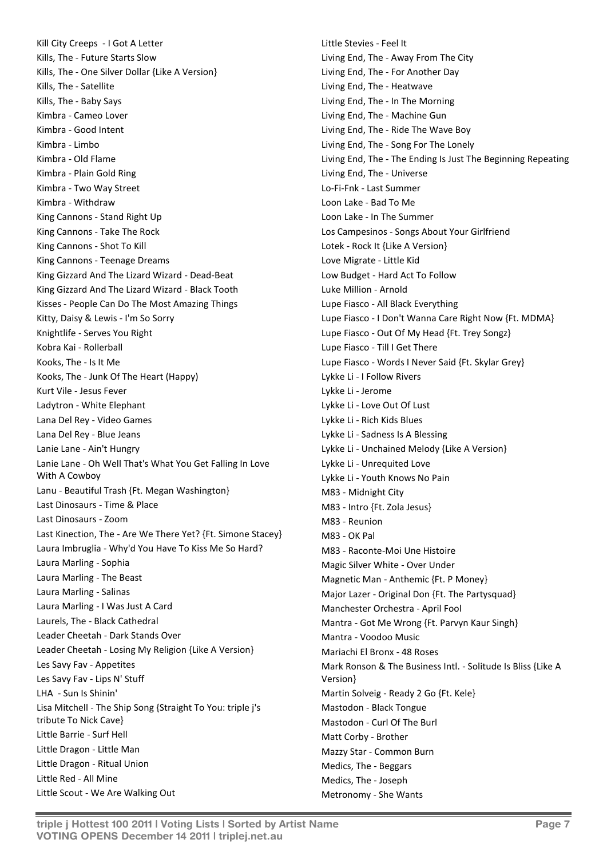Kill City Creeps - I Got A Letter Kills, The - Future Starts Slow Kills, The - One Silver Dollar {Like A Version} Kills, The - Satellite Kills, The - Baby Says Kimbra - Cameo Lover Kimbra - Good Intent Kimbra - Limbo Kimbra - Old Flame Kimbra - Plain Gold Ring Kimbra - Two Way Street Kimbra - Withdraw King Cannons - Stand Right Up King Cannons - Take The Rock King Cannons - Shot To Kill King Cannons - Teenage Dreams King Gizzard And The Lizard Wizard - Dead-Beat King Gizzard And The Lizard Wizard - Black Tooth Kisses - People Can Do The Most Amazing Things Kitty, Daisy & Lewis - I'm So Sorry Knightlife - Serves You Right Kobra Kai - Rollerball Kooks, The - Is It Me Kooks, The - Junk Of The Heart (Happy) Kurt Vile - Jesus Fever Ladytron - White Elephant Lana Del Rey - Video Games Lana Del Rey - Blue Jeans Lanie Lane - Ain't Hungry Lanie Lane - Oh Well That's What You Get Falling In Love With A Cowboy Lanu - Beautiful Trash {Ft. Megan Washington} Last Dinosaurs - Time & Place Last Dinosaurs - Zoom Last Kinection, The - Are We There Yet? {Ft. Simone Stacey} Laura Imbruglia - Why'd You Have To Kiss Me So Hard? Laura Marling - Sophia Laura Marling - The Beast Laura Marling - Salinas Laura Marling - I Was Just A Card Laurels, The - Black Cathedral Leader Cheetah - Dark Stands Over Leader Cheetah - Losing My Religion {Like A Version} Les Savy Fav - Appetites Les Savy Fav - Lips N' Stuff LHA - Sun Is Shinin' Lisa Mitchell - The Ship Song {Straight To You: triple j's tribute To Nick Cave} Little Barrie - Surf Hell Little Dragon - Little Man Little Dragon - Ritual Union Little Red - All Mine Little Scout - We Are Walking Out

Little Stevies - Feel It Living End, The - Away From The City Living End, The - For Another Day Living End, The - Heatwave Living End, The - In The Morning Living End, The - Machine Gun Living End, The - Ride The Wave Boy Living End, The - Song For The Lonely Living End, The - The Ending Is Just The Beginning Repeating Living End, The - Universe Lo-Fi-Fnk - Last Summer Loon Lake - Bad To Me Loon Lake - In The Summer Los Campesinos - Songs About Your Girlfriend Lotek - Rock It {Like A Version} Love Migrate - Little Kid Low Budget - Hard Act To Follow Luke Million - Arnold Lupe Fiasco - All Black Everything Lupe Fiasco - I Don't Wanna Care Right Now {Ft. MDMA} Lupe Fiasco - Out Of My Head {Ft. Trey Songz} Lupe Fiasco - Till I Get There Lupe Fiasco - Words I Never Said {Ft. Skylar Grey} Lykke Li - I Follow Rivers Lykke Li - Jerome Lykke Li - Love Out Of Lust Lykke Li - Rich Kids Blues Lykke Li - Sadness Is A Blessing Lykke Li - Unchained Melody {Like A Version} Lykke Li - Unrequited Love Lykke Li - Youth Knows No Pain M83 - Midnight City M83 - Intro {Ft. Zola Jesus} M83 - Reunion M83 - OK Pal M83 - Raconte-Moi Une Histoire Magic Silver White - Over Under Magnetic Man - Anthemic {Ft. P Money} Major Lazer - Original Don {Ft. The Partysquad} Manchester Orchestra - April Fool Mantra - Got Me Wrong {Ft. Parvyn Kaur Singh} Mantra - Voodoo Music Mariachi El Bronx - 48 Roses Mark Ronson & The Business Intl. - Solitude Is Bliss {Like A Version} Martin Solveig - Ready 2 Go {Ft. Kele} Mastodon - Black Tongue Mastodon - Curl Of The Burl Matt Corby - Brother Mazzy Star - Common Burn Medics, The - Beggars Medics, The - Joseph Metronomy - She Wants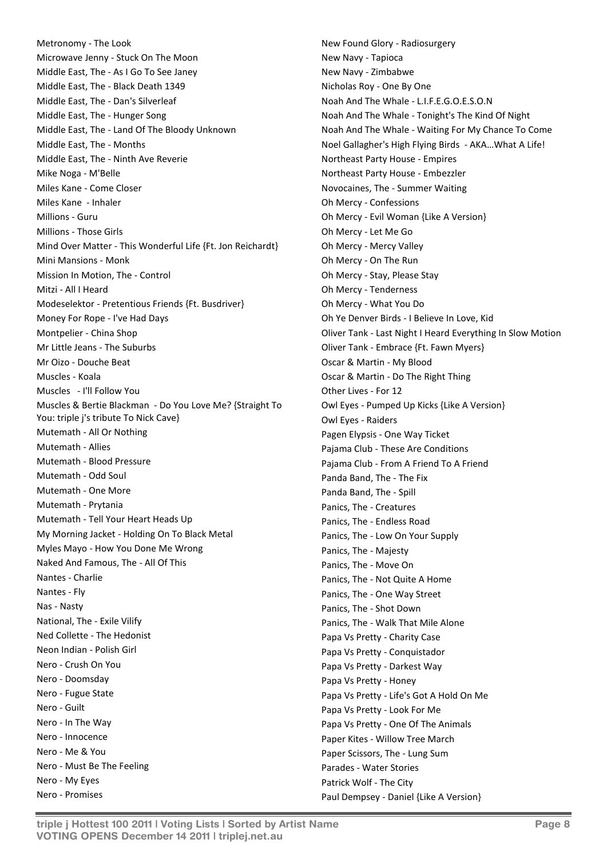Metronomy - The Look Microwave Jenny - Stuck On The Moon Middle East, The - As I Go To See Janey Middle East, The - Black Death 1349 Middle East, The - Dan's Silverleaf Middle East, The - Hunger Song Middle East, The - Land Of The Bloody Unknown Middle East, The - Months Middle East, The - Ninth Ave Reverie Mike Noga - M'Belle Miles Kane - Come Closer Miles Kane - Inhaler Millions - Guru Millions - Those Girls Mind Over Matter - This Wonderful Life {Ft. Jon Reichardt} Mini Mansions - Monk Mission In Motion, The - Control Mitzi - All I Heard Modeselektor - Pretentious Friends {Ft. Busdriver} Money For Rope - I've Had Days Montpelier - China Shop Mr Little Jeans - The Suburbs Mr Oizo - Douche Beat Muscles - Koala Muscles - I'll Follow You Muscles & Bertie Blackman - Do You Love Me? {Straight To You: triple j's tribute To Nick Cave} Mutemath - All Or Nothing Mutemath - Allies Mutemath - Blood Pressure Mutemath - Odd Soul Mutemath - One More Mutemath - Prytania Mutemath - Tell Your Heart Heads Up My Morning Jacket - Holding On To Black Metal Myles Mayo - How You Done Me Wrong Naked And Famous, The - All Of This Nantes - Charlie Nantes - Fly Nas - Nasty National, The - Exile Vilify Ned Collette - The Hedonist Neon Indian - Polish Girl Nero - Crush On You Nero - Doomsday Nero - Fugue State Nero - Guilt Nero - In The Way Nero - Innocence Nero - Me & You Nero - Must Be The Feeling Nero - My Eyes Nero - Promises

New Found Glory - Radiosurgery New Navy - Tapioca New Navy - Zimbabwe Nicholas Roy - One By One Noah And The Whale - L.I.F.E.G.O.E.S.O.N Noah And The Whale - Tonight's The Kind Of Night Noah And The Whale - Waiting For My Chance To Come Noel Gallagher's High Flying Birds - AKA…What A Life! Northeast Party House - Empires Northeast Party House - Embezzler Novocaines, The - Summer Waiting Oh Mercy - Confessions Oh Mercy - Evil Woman {Like A Version} Oh Mercy - Let Me Go Oh Mercy - Mercy Valley Oh Mercy - On The Run Oh Mercy - Stay, Please Stay Oh Mercy - Tenderness Oh Mercy - What You Do Oh Ye Denver Birds - I Believe In Love, Kid Oliver Tank - Last Night I Heard Everything In Slow Motion Oliver Tank - Embrace {Ft. Fawn Myers} Oscar & Martin - My Blood Oscar & Martin - Do The Right Thing Other Lives - For 12 Owl Eyes - Pumped Up Kicks {Like A Version} Owl Eyes - Raiders Pagen Elypsis - One Way Ticket Pajama Club - These Are Conditions Pajama Club - From A Friend To A Friend Panda Band, The - The Fix Panda Band, The - Spill Panics, The - Creatures Panics, The - Endless Road Panics, The - Low On Your Supply Panics, The - Majesty Panics, The - Move On Panics, The - Not Quite A Home Panics, The - One Way Street Panics, The - Shot Down Panics, The - Walk That Mile Alone Papa Vs Pretty - Charity Case Papa Vs Pretty - Conquistador Papa Vs Pretty - Darkest Way Papa Vs Pretty - Honey Papa Vs Pretty - Life's Got A Hold On Me Papa Vs Pretty - Look For Me Papa Vs Pretty - One Of The Animals Paper Kites - Willow Tree March Paper Scissors, The - Lung Sum Parades - Water Stories Patrick Wolf - The City Paul Dempsey - Daniel {Like A Version}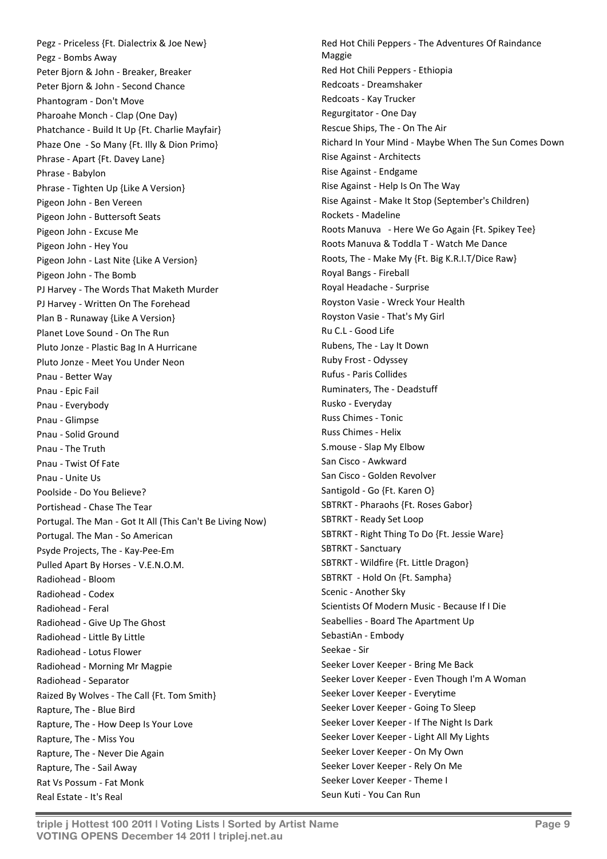Pegz - Priceless {Ft. Dialectrix & Joe New} Pegz - Bombs Away Peter Bjorn & John - Breaker, Breaker Peter Bjorn & John - Second Chance Phantogram - Don't Move Pharoahe Monch - Clap (One Day) Phatchance - Build It Up {Ft. Charlie Mayfair} Phaze One - So Many {Ft. Illy & Dion Primo} Phrase - Apart {Ft. Davey Lane} Phrase - Babylon Phrase - Tighten Up {Like A Version} Pigeon John - Ben Vereen Pigeon John - Buttersoft Seats Pigeon John - Excuse Me Pigeon John - Hey You Pigeon John - Last Nite {Like A Version} Pigeon John - The Bomb PJ Harvey - The Words That Maketh Murder PJ Harvey - Written On The Forehead Plan B - Runaway {Like A Version} Planet Love Sound - On The Run Pluto Jonze - Plastic Bag In A Hurricane Pluto Jonze - Meet You Under Neon Pnau - Better Way Pnau - Epic Fail Pnau - Everybody Pnau - Glimpse Pnau - Solid Ground Pnau - The Truth Pnau - Twist Of Fate Pnau - Unite Us Poolside - Do You Believe? Portishead - Chase The Tear Portugal. The Man - Got It All (This Can't Be Living Now) Portugal. The Man - So American Psyde Projects, The - Kay-Pee-Em Pulled Apart By Horses - V.E.N.O.M. Radiohead - Bloom Radiohead - Codex Radiohead - Feral Radiohead - Give Up The Ghost Radiohead - Little By Little Radiohead - Lotus Flower Radiohead - Morning Mr Magpie Radiohead - Separator Raized By Wolves - The Call {Ft. Tom Smith} Rapture, The - Blue Bird Rapture, The - How Deep Is Your Love Rapture, The - Miss You Rapture, The - Never Die Again Rapture, The - Sail Away Rat Vs Possum - Fat Monk Real Estate - It's Real

Red Hot Chili Peppers - The Adventures Of Raindance Maggie Red Hot Chili Peppers - Ethiopia Redcoats - Dreamshaker Redcoats - Kay Trucker Regurgitator - One Day Rescue Ships, The - On The Air Richard In Your Mind - Maybe When The Sun Comes Down Rise Against - Architects Rise Against - Endgame Rise Against - Help Is On The Way Rise Against - Make It Stop (September's Children) Rockets - Madeline Roots Manuva - Here We Go Again {Ft. Spikey Tee} Roots Manuva & Toddla T - Watch Me Dance Roots, The - Make My {Ft. Big K.R.I.T/Dice Raw} Royal Bangs - Fireball Royal Headache - Surprise Royston Vasie - Wreck Your Health Royston Vasie - That's My Girl Ru C.L - Good Life Rubens, The - Lay It Down Ruby Frost - Odyssey Rufus - Paris Collides Ruminaters, The - Deadstuff Rusko - Everyday Russ Chimes - Tonic Russ Chimes - Helix S.mouse - Slap My Elbow San Cisco - Awkward San Cisco - Golden Revolver Santigold - Go {Ft. Karen O} SBTRKT - Pharaohs {Ft. Roses Gabor} SBTRKT - Ready Set Loop SBTRKT - Right Thing To Do {Ft. Jessie Ware} SBTRKT - Sanctuary SBTRKT - Wildfire {Ft. Little Dragon} SBTRKT - Hold On {Ft. Sampha} Scenic - Another Sky Scientists Of Modern Music - Because If I Die Seabellies - Board The Apartment Up SebastiAn - Embody Seekae - Sir Seeker Lover Keeper - Bring Me Back Seeker Lover Keeper - Even Though I'm A Woman Seeker Lover Keeper - Everytime Seeker Lover Keeper - Going To Sleep Seeker Lover Keeper - If The Night Is Dark Seeker Lover Keeper - Light All My Lights Seeker Lover Keeper - On My Own Seeker Lover Keeper - Rely On Me Seeker Lover Keeper - Theme I Seun Kuti - You Can Run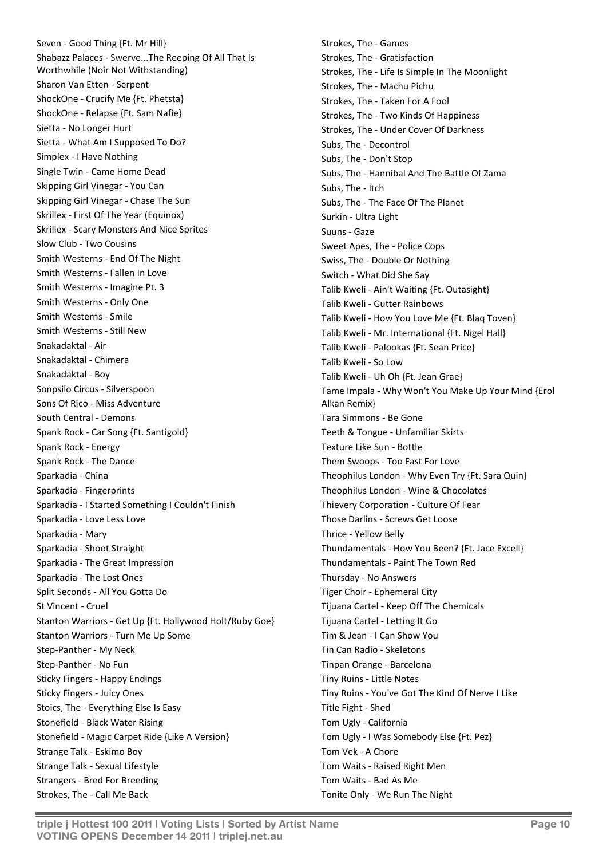Seven - Good Thing {Ft. Mr Hill} Shabazz Palaces - Swerve...The Reeping Of All That Is Worthwhile (Noir Not Withstanding) Sharon Van Etten - Serpent ShockOne - Crucify Me {Ft. Phetsta} ShockOne - Relapse {Ft. Sam Nafie} Sietta - No Longer Hurt Sietta - What Am I Supposed To Do? Simplex - I Have Nothing Single Twin - Came Home Dead Skipping Girl Vinegar - You Can Skipping Girl Vinegar - Chase The Sun Skrillex - First Of The Year (Equinox) Skrillex - Scary Monsters And Nice Sprites Slow Club - Two Cousins Smith Westerns - End Of The Night Smith Westerns - Fallen In Love Smith Westerns - Imagine Pt. 3 Smith Westerns - Only One Smith Westerns - Smile Smith Westerns - Still New Snakadaktal - Air Snakadaktal - Chimera Snakadaktal - Boy Sonpsilo Circus - Silverspoon Sons Of Rico - Miss Adventure South Central - Demons Spank Rock - Car Song {Ft. Santigold} Spank Rock - Energy Spank Rock - The Dance Sparkadia - China Sparkadia - Fingerprints Sparkadia - I Started Something I Couldn't Finish Sparkadia - Love Less Love Sparkadia - Mary Sparkadia - Shoot Straight Sparkadia - The Great Impression Sparkadia - The Lost Ones Split Seconds - All You Gotta Do St Vincent - Cruel Stanton Warriors - Get Up {Ft. Hollywood Holt/Ruby Goe} Stanton Warriors - Turn Me Up Some Step-Panther - My Neck Step-Panther - No Fun Sticky Fingers - Happy Endings Sticky Fingers - Juicy Ones Stoics, The - Everything Else Is Easy Stonefield - Black Water Rising Stonefield - Magic Carpet Ride {Like A Version} Strange Talk - Eskimo Boy Strange Talk - Sexual Lifestyle Strangers - Bred For Breeding Strokes, The - Call Me Back

Strokes, The - Games Strokes, The - Gratisfaction Strokes, The - Life Is Simple In The Moonlight Strokes, The - Machu Pichu Strokes, The - Taken For A Fool Strokes, The - Two Kinds Of Happiness Strokes, The - Under Cover Of Darkness Subs, The - Decontrol Subs, The - Don't Stop Subs, The - Hannibal And The Battle Of Zama Subs, The - Itch Subs, The - The Face Of The Planet Surkin - Ultra Light Suuns - Gaze Sweet Apes, The - Police Cops Swiss, The - Double Or Nothing Switch - What Did She Say Talib Kweli - Ain't Waiting {Ft. Outasight} Talib Kweli - Gutter Rainbows Talib Kweli - How You Love Me {Ft. Blaq Toven} Talib Kweli - Mr. International {Ft. Nigel Hall} Talib Kweli - Palookas {Ft. Sean Price} Talib Kweli - So Low Talib Kweli - Uh Oh {Ft. Jean Grae} Tame Impala - Why Won't You Make Up Your Mind {Erol Alkan Remix} Tara Simmons - Be Gone Teeth & Tongue - Unfamiliar Skirts Texture Like Sun - Bottle Them Swoops - Too Fast For Love Theophilus London - Why Even Try {Ft. Sara Quin} Theophilus London - Wine & Chocolates Thievery Corporation - Culture Of Fear Those Darlins - Screws Get Loose Thrice - Yellow Belly Thundamentals - How You Been? {Ft. Jace Excell} Thundamentals - Paint The Town Red Thursday - No Answers Tiger Choir - Ephemeral City Tijuana Cartel - Keep Off The Chemicals Tijuana Cartel - Letting It Go Tim & Jean - I Can Show You Tin Can Radio - Skeletons Tinpan Orange - Barcelona Tiny Ruins - Little Notes Tiny Ruins - You've Got The Kind Of Nerve I Like Title Fight - Shed Tom Ugly - California Tom Ugly - I Was Somebody Else {Ft. Pez} Tom Vek - A Chore Tom Waits - Raised Right Men Tom Waits - Bad As Me Tonite Only - We Run The Night